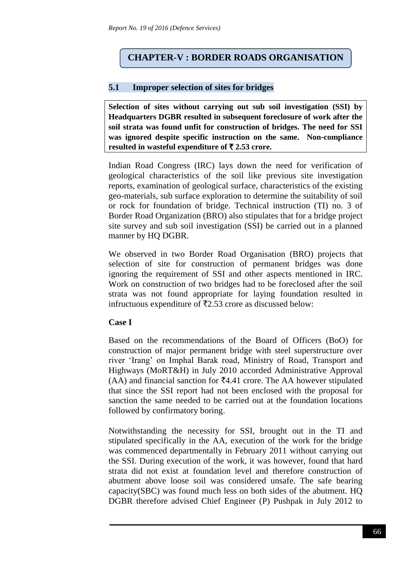# **CHAPTER-V : BORDER ROADS ORGANISATION**

### **5.1 Improper selection of sites for bridges**

**Selection of sites without carrying out sub soil investigation (SSI) by Headquarters DGBR resulted in subsequent foreclosure of work after the soil strata was found unfit for construction of bridges. The need for SSI was ignored despite specific instruction on the same. Non-compliance** resulted in wasteful expenditure of  $\bar{\tau}$  2.53 crore.

Indian Road Congress (IRC) lays down the need for verification of geological characteristics of the soil like previous site investigation reports, examination of geological surface, characteristics of the existing geo-materials, sub surface exploration to determine the suitability of soil or rock for foundation of bridge. Technical instruction (TI) no. 3 of Border Road Organization (BRO) also stipulates that for a bridge project site survey and sub soil investigation (SSI) be carried out in a planned manner by HQ DGBR.

We observed in two Border Road Organisation (BRO) projects that selection of site for construction of permanent bridges was done ignoring the requirement of SSI and other aspects mentioned in IRC. Work on construction of two bridges had to be foreclosed after the soil strata was not found appropriate for laying foundation resulted in infructuous expenditure of  $\overline{52.53}$  crore as discussed below:

## **Case I**

Based on the recommendations of the Board of Officers (BoO) for construction of major permanent bridge with steel superstructure over river 'Irang' on Imphal Barak road, Ministry of Road, Transport and Highways (MoRT&H) in July 2010 accorded Administrative Approval (AA) and financial sanction for  $\bar{z}$ 4.41 crore. The AA however stipulated that since the SSI report had not been enclosed with the proposal for sanction the same needed to be carried out at the foundation locations followed by confirmatory boring.

Notwithstanding the necessity for SSI, brought out in the TI and stipulated specifically in the AA, execution of the work for the bridge was commenced departmentally in February 2011 without carrying out the SSI. During execution of the work, it was however, found that hard strata did not exist at foundation level and therefore construction of abutment above loose soil was considered unsafe. The safe bearing capacity(SBC) was found much less on both sides of the abutment. HQ DGBR therefore advised Chief Engineer (P) Pushpak in July 2012 to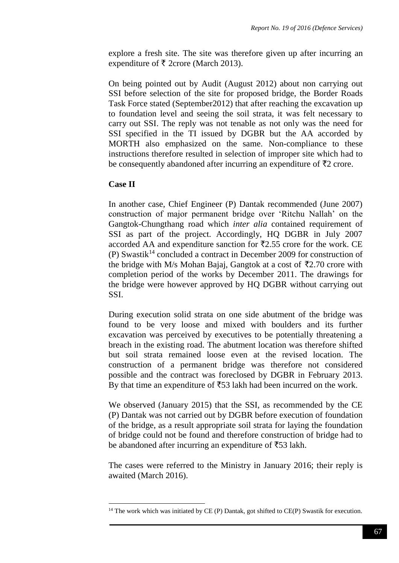explore a fresh site. The site was therefore given up after incurring an expenditure of  $\bar{\tau}$  2crore (March 2013).

On being pointed out by Audit (August 2012) about non carrying out SSI before selection of the site for proposed bridge, the Border Roads Task Force stated (September2012) that after reaching the excavation up to foundation level and seeing the soil strata, it was felt necessary to carry out SSI. The reply was not tenable as not only was the need for SSI specified in the TI issued by DGBR but the AA accorded by MORTH also emphasized on the same. Non-compliance to these instructions therefore resulted in selection of improper site which had to be consequently abandoned after incurring an expenditure of  $\bar{\tau}_2$  crore.

#### **Case II**

**.** 

In another case, Chief Engineer (P) Dantak recommended (June 2007) construction of major permanent bridge over 'Ritchu Nallah' on the Gangtok-Chungthang road which *inter alia* contained requirement of SSI as part of the project. Accordingly, HQ DGBR in July 2007 accorded AA and expenditure sanction for  $\overline{5}2.55$  crore for the work. CE  $(P)$  Swastik<sup>14</sup> concluded a contract in December 2009 for construction of the bridge with M/s Mohan Bajaj, Gangtok at a cost of  $\bar{\tau}$ 2.70 crore with completion period of the works by December 2011. The drawings for the bridge were however approved by HQ DGBR without carrying out SSI.

During execution solid strata on one side abutment of the bridge was found to be very loose and mixed with boulders and its further excavation was perceived by executives to be potentially threatening a breach in the existing road. The abutment location was therefore shifted but soil strata remained loose even at the revised location. The construction of a permanent bridge was therefore not considered possible and the contract was foreclosed by DGBR in February 2013. By that time an expenditure of  $\overline{5}3$  lakh had been incurred on the work.

We observed (January 2015) that the SSI, as recommended by the CE (P) Dantak was not carried out by DGBR before execution of foundation of the bridge, as a result appropriate soil strata for laying the foundation of bridge could not be found and therefore construction of bridge had to be abandoned after incurring an expenditure of  $\overline{5}53$  lakh.

The cases were referred to the Ministry in January 2016; their reply is awaited (March 2016).

 $14$  The work which was initiated by CE (P) Dantak, got shifted to CE(P) Swastik for execution.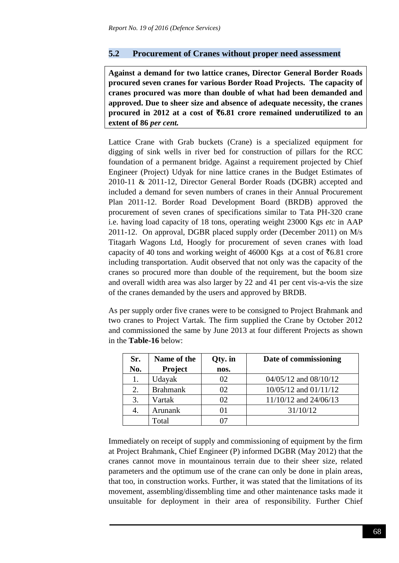### **5.2 Procurement of Cranes without proper need assessment**

**Against a demand for two lattice cranes, Director General Border Roads procured seven cranes for various Border Road Projects. The capacity of cranes procured was more than double of what had been demanded and approved. Due to sheer size and absence of adequate necessity, the cranes procured in 2012 at a cost of** `**6.81 crore remained underutilized to an extent of 86** *per cent.*

Lattice Crane with Grab buckets (Crane) is a specialized equipment for digging of sink wells in river bed for construction of pillars for the RCC foundation of a permanent bridge. Against a requirement projected by Chief Engineer (Project) Udyak for nine lattice cranes in the Budget Estimates of 2010-11 & 2011-12, Director General Border Roads (DGBR) accepted and included a demand for seven numbers of cranes in their Annual Procurement Plan 2011-12. Border Road Development Board (BRDB) approved the procurement of seven cranes of specifications similar to Tata PH-320 crane i.e. having load capacity of 18 tons, operating weight 23000 Kgs *etc* in AAP 2011-12. On approval, DGBR placed supply order (December 2011) on M/s Titagarh Wagons Ltd, Hoogly for procurement of seven cranes with load capacity of 40 tons and working weight of 46000 Kgs at a cost of  $\bar{z}$ 6.81 crore including transportation. Audit observed that not only was the capacity of the cranes so procured more than double of the requirement, but the boom size and overall width area was also larger by 22 and 41 per cent vis-a-vis the size of the cranes demanded by the users and approved by BRDB.

As per supply order five cranes were to be consigned to Project Brahmank and two cranes to Project Vartak. The firm supplied the Crane by October 2012 and commissioned the same by June 2013 at four different Projects as shown in the **Table-16** below:

| Sr. | Name of the     | Qty. in | Date of commissioning     |
|-----|-----------------|---------|---------------------------|
| No. | <b>Project</b>  | nos.    |                           |
|     | Udayak          | 02      | $04/05/12$ and $08/10/12$ |
| 2.  | <b>Brahmank</b> | 02      | $10/05/12$ and $01/11/12$ |
| 3.  | Vartak          | 02      | 11/10/12 and 24/06/13     |
|     | Arunank         | 01      | 31/10/12                  |
|     | Total           | 77      |                           |

Immediately on receipt of supply and commissioning of equipment by the firm at Project Brahmank, Chief Engineer (P) informed DGBR (May 2012) that the cranes cannot move in mountainous terrain due to their sheer size, related parameters and the optimum use of the crane can only be done in plain areas, that too, in construction works. Further, it was stated that the limitations of its movement, assembling/dissembling time and other maintenance tasks made it unsuitable for deployment in their area of responsibility. Further Chief